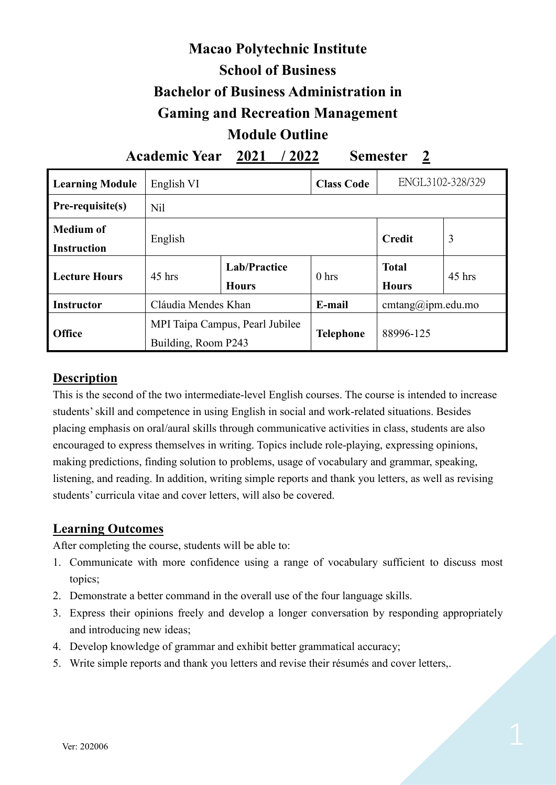# **Macao Polytechnic Institute School of Business Bachelor of Business Administration in Gaming and Recreation Management Module Outline**

**Academic Year 2021 / 2022 Semester 2**

| <b>Learning Module</b>          | English VI          |                                     | <b>Class Code</b> | ENGL3102-328/329             |          |
|---------------------------------|---------------------|-------------------------------------|-------------------|------------------------------|----------|
| <b>Pre-requisite(s)</b>         | N <sub>il</sub>     |                                     |                   |                              |          |
| Medium of<br><b>Instruction</b> | English             |                                     |                   | <b>Credit</b>                | 3        |
| Lecture Hours                   | $45$ hrs            | <b>Lab/Practice</b><br><b>Hours</b> | 0 <sub>hrs</sub>  | <b>Total</b><br><b>Hours</b> | $45$ hrs |
| <b>Instructor</b>               | Cláudia Mendes Khan |                                     | E-mail            | cmtang@ipm.edu.mo            |          |
| <b>Office</b>                   | Building, Room P243 | MPI Taipa Campus, Pearl Jubilee     | <b>Telephone</b>  | 88996-125                    |          |

### **Description**

This is the second of the two intermediate-level English courses. The course is intended to increase students' skill and competence in using English in social and work-related situations. Besides placing emphasis on oral/aural skills through communicative activities in class, students are also encouraged to express themselves in writing. Topics include role-playing, expressing opinions, making predictions, finding solution to problems, usage of vocabulary and grammar, speaking, listening, and reading. In addition, writing simple reports and thank you letters, as well as revising students' curricula vitae and cover letters, will also be covered.

### **Learning Outcomes**

After completing the course, students will be able to:

- 1. Communicate with more confidence using a range of vocabulary sufficient to discuss most topics;
- 2. Demonstrate a better command in the overall use of the four language skills.
- 3. Express their opinions freely and develop a longer conversation by responding appropriately and introducing new ideas;
- 4. Develop knowledge of grammar and exhibit better grammatical accuracy;
- 5. Write simple reports and thank you letters and revise their résumés and cover letters,.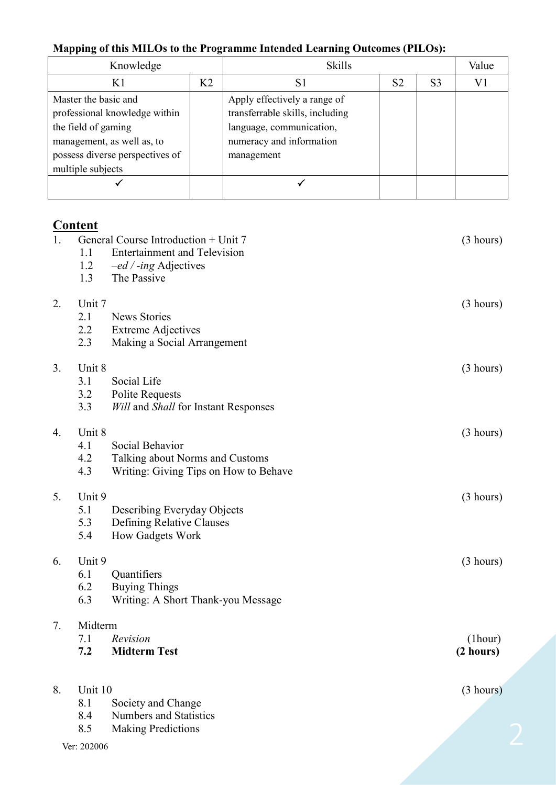# **Mapping of this MILOs to the Programme Intended Learning Outcomes (PILOs):**

| Knowledge                                                                                                                                                          |                | <b>Skills</b>                                                                                                                         | Value          |                |   |
|--------------------------------------------------------------------------------------------------------------------------------------------------------------------|----------------|---------------------------------------------------------------------------------------------------------------------------------------|----------------|----------------|---|
|                                                                                                                                                                    | K <sub>2</sub> | S1                                                                                                                                    | S <sub>2</sub> | S <sub>3</sub> | V |
| Master the basic and<br>professional knowledge within<br>the field of gaming<br>management, as well as, to<br>possess diverse perspectives of<br>multiple subjects |                | Apply effectively a range of<br>transferrable skills, including<br>language, communication,<br>numeracy and information<br>management |                |                |   |
|                                                                                                                                                                    |                |                                                                                                                                       |                |                |   |

# **Content**

| 1. | 1.1         | General Course Introduction + Unit 7<br><b>Entertainment and Television</b> | (3 hours) |
|----|-------------|-----------------------------------------------------------------------------|-----------|
|    | 1.2         | -ed / -ing Adjectives                                                       |           |
|    | 1.3         | The Passive                                                                 |           |
| 2. | Unit 7      |                                                                             | (3 hours) |
|    | 2.1         | <b>News Stories</b>                                                         |           |
|    | 2.2         | <b>Extreme Adjectives</b>                                                   |           |
|    | 2.3         | Making a Social Arrangement                                                 |           |
| 3. | Unit 8      |                                                                             | (3 hours) |
|    | 3.1         | Social Life                                                                 |           |
|    | 3.2         | <b>Polite Requests</b>                                                      |           |
|    | 3.3         | <b>Will and Shall for Instant Responses</b>                                 |           |
| 4. | Unit 8      |                                                                             | (3 hours) |
|    | 4.1         | Social Behavior                                                             |           |
|    | 4.2         | Talking about Norms and Customs                                             |           |
|    | 4.3         | Writing: Giving Tips on How to Behave                                       |           |
| 5. | Unit 9      |                                                                             | (3 hours) |
|    | 5.1         | Describing Everyday Objects                                                 |           |
|    | 5.3         | Defining Relative Clauses                                                   |           |
|    | 5.4         | How Gadgets Work                                                            |           |
| 6. | Unit 9      |                                                                             | (3 hours) |
|    | 6.1         | Quantifiers                                                                 |           |
|    | 6.2         | <b>Buying Things</b>                                                        |           |
|    | 6.3         | Writing: A Short Thank-you Message                                          |           |
| 7. | Midterm     |                                                                             |           |
|    | 7.1         | Revision                                                                    | (lhour)   |
|    | 7.2         | <b>Midterm Test</b>                                                         | (2 hours) |
|    |             |                                                                             |           |
| 8. | Unit 10     |                                                                             | (3 hours) |
|    | 8.1         | Society and Change                                                          |           |
|    | 8.4         | <b>Numbers and Statistics</b>                                               |           |
|    | 8.5         | <b>Making Predictions</b>                                                   |           |
|    | Ver: 202006 |                                                                             |           |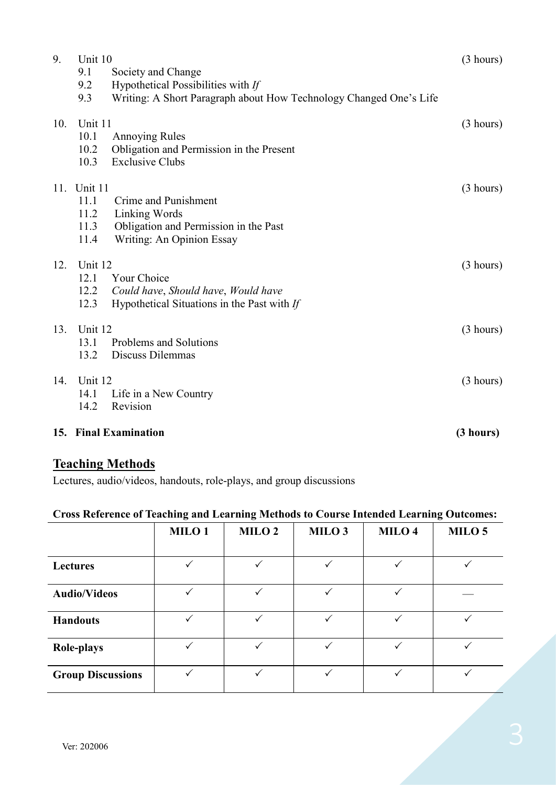| 9.  | Unit 10<br>9.1<br>Society and Change<br>9.2<br>Hypothetical Possibilities with If<br>Writing: A Short Paragraph about How Technology Changed One's Life<br>9.3 | (3 hours) |
|-----|----------------------------------------------------------------------------------------------------------------------------------------------------------------|-----------|
| 10. | Unit 11<br>10.1<br><b>Annoying Rules</b><br>Obligation and Permission in the Present<br>10.2<br><b>Exclusive Clubs</b><br>10.3                                 | (3 hours) |
| 11. | Unit 11<br>11.1<br>Crime and Punishment<br>Linking Words<br>11.2<br>11.3<br>Obligation and Permission in the Past<br>11.4<br>Writing: An Opinion Essay         | (3 hours) |
| 12. | Unit 12<br>12.1<br>Your Choice<br>12.2<br>Could have, Should have, Would have<br>12.3<br>Hypothetical Situations in the Past with If                           | (3 hours) |
| 13. | Unit 12<br>13.1<br>Problems and Solutions<br>Discuss Dilemmas<br>13.2                                                                                          | (3 hours) |
| 14. | Unit 12<br>14.1<br>Life in a New Country<br>Revision<br>14.2                                                                                                   | (3 hours) |
|     | 15. Final Examination                                                                                                                                          | (3 hours) |

## **Teaching Methods**

Lectures, audio/videos, handouts, role-plays, and group discussions

#### **Cross Reference of Teaching and Learning Methods to Course Intended Learning Outcomes:**

|                          | MILO <sub>1</sub> | MILO <sub>2</sub> | MILO <sub>3</sub> | MILO <sub>4</sub> | MILO <sub>5</sub> |
|--------------------------|-------------------|-------------------|-------------------|-------------------|-------------------|
|                          |                   |                   |                   |                   |                   |
| <b>Lectures</b>          |                   |                   |                   |                   |                   |
| <b>Audio/Videos</b>      |                   |                   |                   |                   |                   |
| <b>Handouts</b>          |                   |                   |                   |                   |                   |
| <b>Role-plays</b>        |                   |                   |                   |                   |                   |
| <b>Group Discussions</b> |                   |                   | $\checkmark$      |                   |                   |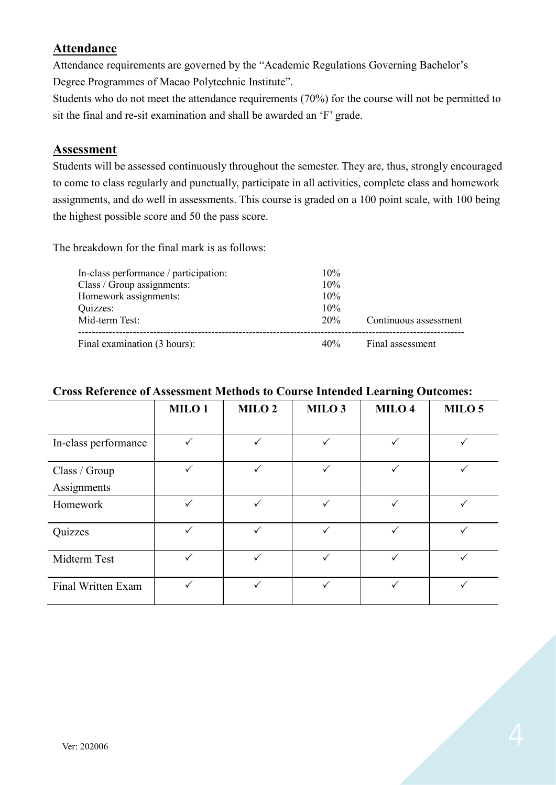## **Attendance**

Attendance requirements are governed by the "Academic Regulations Governing Bachelor's Degree Programmes of Macao Polytechnic Institute".

Students who do not meet the attendance requirements (70%) for the course will not be permitted to sit the final and re-sit examination and shall be awarded an 'F' grade.

#### **Assessment**

Students will be assessed continuously throughout the semester. They are, thus, strongly encouraged to come to class regularly and punctually, participate in all activities, complete class and homework assignments, and do well in assessments. This course is graded on a 100 point scale, with 100 being the highest possible score and 50 the pass score.

The breakdown for the final mark is as follows:

| In-class performance / participation:               | $10\%$<br>10% |                       |
|-----------------------------------------------------|---------------|-----------------------|
| Class / Group assignments:<br>Homework assignments: | 10%           |                       |
| Quizzes:<br>Mid-term Test:                          | 10%<br>20%    | Continuous assessment |
| Final examination (3 hours):                        |               | 40% Final assessment  |

|                      |                   |                   |                   | 0                 |                   |
|----------------------|-------------------|-------------------|-------------------|-------------------|-------------------|
|                      | MILO <sub>1</sub> | MILO <sub>2</sub> | MILO <sub>3</sub> | MILO <sub>4</sub> | MILO <sub>5</sub> |
|                      |                   |                   |                   |                   |                   |
| In-class performance | $\checkmark$      | $\checkmark$      | ✓                 |                   |                   |
| Class / Group        | $\checkmark$      | ✓                 | ✓                 | ✓                 | ✓                 |
| Assignments          |                   |                   |                   |                   |                   |
| Homework             | $\checkmark$      | $\checkmark$      | $\checkmark$      | ✓                 | $\checkmark$      |
| Quizzes              | $\checkmark$      | ✓                 | ✓                 | ✓                 | ✓                 |
| Midterm Test         | ✓                 |                   |                   |                   |                   |
| Final Written Exam   |                   |                   | ✓                 |                   |                   |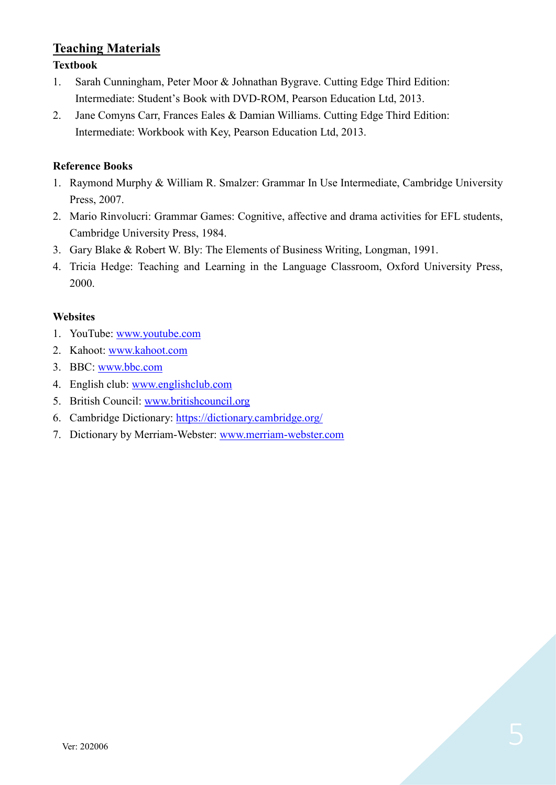# **Teaching Materials**

#### **Textbook**

- 1. Sarah Cunningham, Peter Moor & Johnathan Bygrave. Cutting Edge Third Edition: Intermediate: Student's Book with DVD-ROM, Pearson Education Ltd, 2013.
- 2. Jane Comyns Carr, Frances Eales & Damian Williams. Cutting Edge Third Edition: Intermediate: Workbook with Key, Pearson Education Ltd, 2013.

#### **Reference Books**

- 1. Raymond Murphy & William R. Smalzer: Grammar In Use Intermediate, Cambridge University Press, 2007.
- 2. Mario Rinvolucri: Grammar Games: Cognitive, affective and drama activities for EFL students, Cambridge University Press, 1984.
- 3. Gary Blake & Robert W. Bly: The Elements of Business Writing, Longman, 1991.
- 4. Tricia Hedge: Teaching and Learning in the Language Classroom, Oxford University Press, 2000.

#### **Websites**

- 1. YouTube: [www.youtube.com](http://www.youtube.com/)
- 2. Kahoot: [www.kahoot.com](http://www.kahoot.com/)
- 3. BBC: [www.bbc.com](http://www.bbc.com/)
- 4. English club: [www.englishclub.com](http://www.englishclub.com/)
- 5. British Council: [www.britishcouncil.org](http://www.britishcouncil.org/)
- 6. Cambridge Dictionary:<https://dictionary.cambridge.org/>
- 7. Dictionary by Merriam-Webster: [www.merriam-webster.com](http://www.merriam-webster.com/)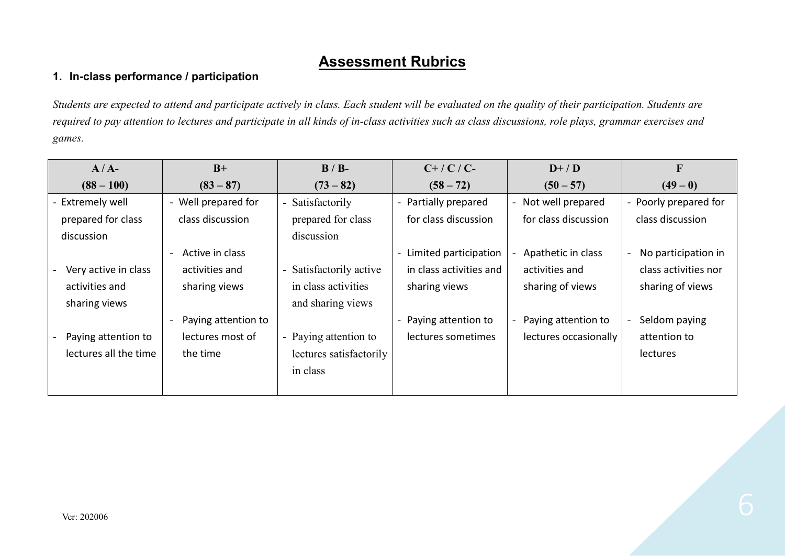# **Assessment Rubrics**

#### **1. In-class performance / participation**

*Students are expected to attend and participate actively in class. Each student will be evaluated on the quality of their participation. Students are required to pay attention to lectures and participate in all kinds of in-class activities such as class discussions, role plays, grammar exercises and games.*

| $A/A-$                | $B+$                                        | $B/B$ -                                           | $C+$ / $C$ / $C-$       | $D+ / D$                                      | $\mathbf F$           |
|-----------------------|---------------------------------------------|---------------------------------------------------|-------------------------|-----------------------------------------------|-----------------------|
| $(88 - 100)$          | $(83 - 87)$                                 | $(73 - 82)$                                       | $(58 - 72)$             | $(50 - 57)$                                   | $(49-0)$              |
| - Extremely well      | - Well prepared for                         | Satisfactorily<br>$\overline{\phantom{a}}$        | - Partially prepared    | Not well prepared<br>$\overline{\phantom{0}}$ | - Poorly prepared for |
| prepared for class    | class discussion                            | prepared for class                                | for class discussion    | for class discussion                          | class discussion      |
| discussion            |                                             | discussion                                        |                         |                                               |                       |
|                       | Active in class<br>$\overline{\phantom{a}}$ |                                                   | Limited participation   | Apathetic in class                            | No participation in   |
| Very active in class  | activities and                              | Satisfactorily active<br>$\overline{\phantom{a}}$ | in class activities and | activities and                                | class activities nor  |
| activities and        | sharing views                               | in class activities                               | sharing views           | sharing of views                              | sharing of views      |
| sharing views         |                                             | and sharing views                                 |                         |                                               |                       |
|                       | Paying attention to                         |                                                   | - Paying attention to   | Paying attention to                           | Seldom paying         |
| Paying attention to   | lectures most of                            | - Paying attention to                             | lectures sometimes      | lectures occasionally                         | attention to          |
| lectures all the time | the time                                    | lectures satisfactorily                           |                         |                                               | lectures              |
|                       |                                             | in class                                          |                         |                                               |                       |
|                       |                                             |                                                   |                         |                                               |                       |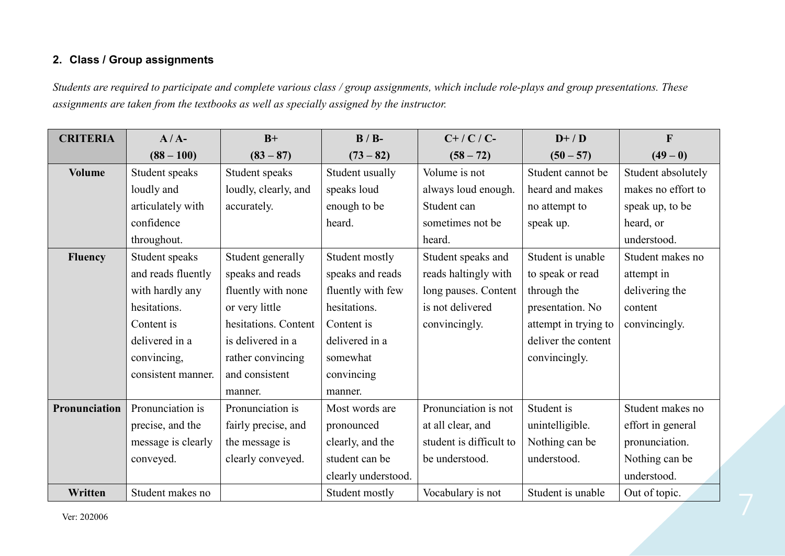#### **2. Class / Group assignments**

*Students are required to participate and complete various class / group assignments, which include role-plays and group presentations. These assignments are taken from the textbooks as well as specially assigned by the instructor.*

| <b>CRITERIA</b> | $A/A-$             | $B+$                 | $B / B$ -           | $C+$ / $C$ / $C-$       | $D+ / D$             | $\mathbf{F}$       |
|-----------------|--------------------|----------------------|---------------------|-------------------------|----------------------|--------------------|
|                 | $(88 - 100)$       | $(83 - 87)$          | $(73 - 82)$         | $(58 - 72)$             | $(50 - 57)$          | $(49-0)$           |
| <b>Volume</b>   | Student speaks     | Student speaks       | Student usually     | Volume is not           | Student cannot be    | Student absolutely |
|                 | loudly and         | loudly, clearly, and | speaks loud         | always loud enough.     | heard and makes      | makes no effort to |
|                 | articulately with  | accurately.          | enough to be        | Student can             | no attempt to        | speak up, to be    |
|                 | confidence         |                      | heard.              | sometimes not be        | speak up.            | heard, or          |
|                 | throughout.        |                      |                     | heard.                  |                      | understood.        |
| <b>Fluency</b>  | Student speaks     | Student generally    | Student mostly      | Student speaks and      | Student is unable    | Student makes no   |
|                 | and reads fluently | speaks and reads     | speaks and reads    | reads haltingly with    | to speak or read     | attempt in         |
|                 | with hardly any    | fluently with none   | fluently with few   | long pauses. Content    | through the          | delivering the     |
|                 | hesitations.       | or very little       | hesitations.        | is not delivered        | presentation. No     | content            |
|                 | Content is         | hesitations. Content | Content is          | convincingly.           | attempt in trying to | convincingly.      |
|                 | delivered in a     | is delivered in a    | delivered in a      |                         | deliver the content  |                    |
|                 | convincing,        | rather convincing    | somewhat            |                         | convincingly.        |                    |
|                 | consistent manner. | and consistent       | convincing          |                         |                      |                    |
|                 |                    | manner.              | manner.             |                         |                      |                    |
| Pronunciation   | Pronunciation is   | Pronunciation is     | Most words are      | Pronunciation is not    | Student is           | Student makes no   |
|                 | precise, and the   | fairly precise, and  | pronounced          | at all clear, and       | unintelligible.      | effort in general  |
|                 | message is clearly | the message is       | clearly, and the    | student is difficult to | Nothing can be       | pronunciation.     |
|                 | conveyed.          | clearly conveyed.    | student can be      | be understood.          | understood.          | Nothing can be     |
|                 |                    |                      | clearly understood. |                         |                      | understood.        |
| Written         | Student makes no   |                      | Student mostly      | Vocabulary is not       | Student is unable    | Out of topic.      |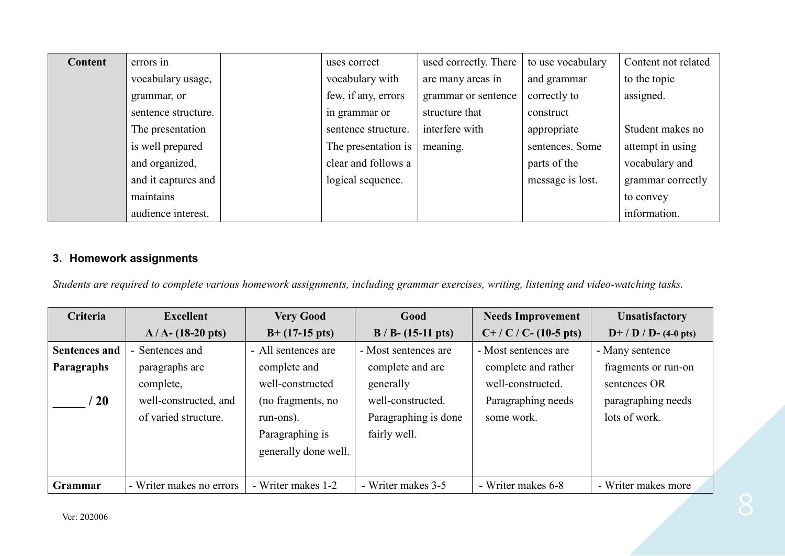| Content | errors in           | uses correct        | used correctly. There | to use vocabulary | Content not related |
|---------|---------------------|---------------------|-----------------------|-------------------|---------------------|
|         | vocabulary usage,   | vocabulary with     | are many areas in     | and grammar       | to the topic        |
|         | grammar, or         | few, if any, errors | grammar or sentence   | correctly to      | assigned.           |
|         | sentence structure. | in grammar or       | structure that        | construct         |                     |
|         | The presentation    | sentence structure. | interfere with        | appropriate       | Student makes no    |
|         | is well prepared    | The presentation is | meaning.              | sentences. Some   | attempt in using    |
|         | and organized,      | clear and follows a |                       | parts of the      | vocabulary and      |
|         | and it captures and | logical sequence.   |                       | message is lost.  | grammar correctly   |
|         | maintains           |                     |                       |                   | to convey           |
|         | audience interest.  |                     |                       |                   | information.        |

### **3. Homework assignments**

*Students are required to complete various homework assignments, including grammar exercises, writing, listening and video-watching tasks.*

| Criteria             | <b>Excellent</b>         | <b>Very Good</b>         | Good                          | <b>Needs Improvement</b>   | <b>Unsatisfactory</b>           |
|----------------------|--------------------------|--------------------------|-------------------------------|----------------------------|---------------------------------|
|                      | $A/A - (18-20)$ pts)     | $B+ (17-15 \text{ pts})$ | $B / B - (15-11 \text{ pts})$ | $C+ / C / C - (10-5)$ pts) | $D+ / D / D- (4-0 \text{ pts})$ |
| <b>Sentences and</b> | - Sentences and          | - All sentences are      | - Most sentences are          | - Most sentences are       | - Many sentence                 |
| <b>Paragraphs</b>    | paragraphs are           | complete and             | complete and are              | complete and rather        | fragments or run-on             |
|                      | complete,                | well-constructed         | generally                     | well-constructed.          | sentences OR                    |
| $\sqrt{20}$          | well-constructed, and    | (no fragments, no        | well-constructed.             | Paragraphing needs         | paragraphing needs              |
|                      | of varied structure.     | run-ons).                | Paragraphing is done          | some work.                 | lots of work.                   |
|                      |                          | Paragraphing is          | fairly well.                  |                            |                                 |
|                      |                          | generally done well.     |                               |                            |                                 |
|                      |                          |                          |                               |                            |                                 |
| Grammar              | - Writer makes no errors | - Writer makes 1-2       | - Writer makes 3-5            | - Writer makes 6-8         | - Writer makes more             |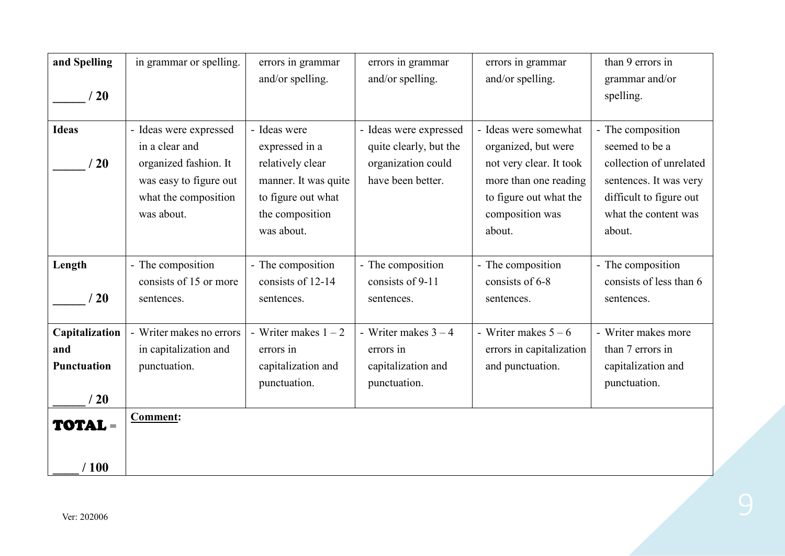| and Spelling<br>/20                         | in grammar or spelling.                                                                                                           | errors in grammar<br>and/or spelling.                                                                                             | errors in grammar<br>and/or spelling.                                                       | errors in grammar<br>and/or spelling.                                                                                                                   | than 9 errors in<br>grammar and/or<br>spelling.                                                                                                       |
|---------------------------------------------|-----------------------------------------------------------------------------------------------------------------------------------|-----------------------------------------------------------------------------------------------------------------------------------|---------------------------------------------------------------------------------------------|---------------------------------------------------------------------------------------------------------------------------------------------------------|-------------------------------------------------------------------------------------------------------------------------------------------------------|
| <b>Ideas</b><br>/20                         | - Ideas were expressed<br>in a clear and<br>organized fashion. It<br>was easy to figure out<br>what the composition<br>was about. | - Ideas were<br>expressed in a<br>relatively clear<br>manner. It was quite<br>to figure out what<br>the composition<br>was about. | - Ideas were expressed<br>quite clearly, but the<br>organization could<br>have been better. | - Ideas were somewhat<br>organized, but were<br>not very clear. It took<br>more than one reading<br>to figure out what the<br>composition was<br>about. | - The composition<br>seemed to be a<br>collection of unrelated<br>sentences. It was very<br>difficult to figure out<br>what the content was<br>about. |
| Length<br>$\sqrt{20}$                       | - The composition<br>consists of 15 or more<br>sentences.                                                                         | - The composition<br>consists of 12-14<br>sentences.                                                                              | - The composition<br>consists of 9-11<br>sentences.                                         | - The composition<br>consists of 6-8<br>sentences.                                                                                                      | - The composition<br>consists of less than 6<br>sentences.                                                                                            |
| Capitalization<br>and<br>Punctuation<br>/20 | - Writer makes no errors<br>in capitalization and<br>punctuation.                                                                 | - Writer makes $1 - 2$<br>errors in<br>capitalization and<br>punctuation.                                                         | - Writer makes $3 - 4$<br>errors in<br>capitalization and<br>punctuation.                   | - Writer makes $5 - 6$<br>errors in capitalization<br>and punctuation.                                                                                  | - Writer makes more<br>than 7 errors in<br>capitalization and<br>punctuation.                                                                         |
| <b>TOTAL =</b><br>/100                      | <b>Comment:</b>                                                                                                                   |                                                                                                                                   |                                                                                             |                                                                                                                                                         |                                                                                                                                                       |